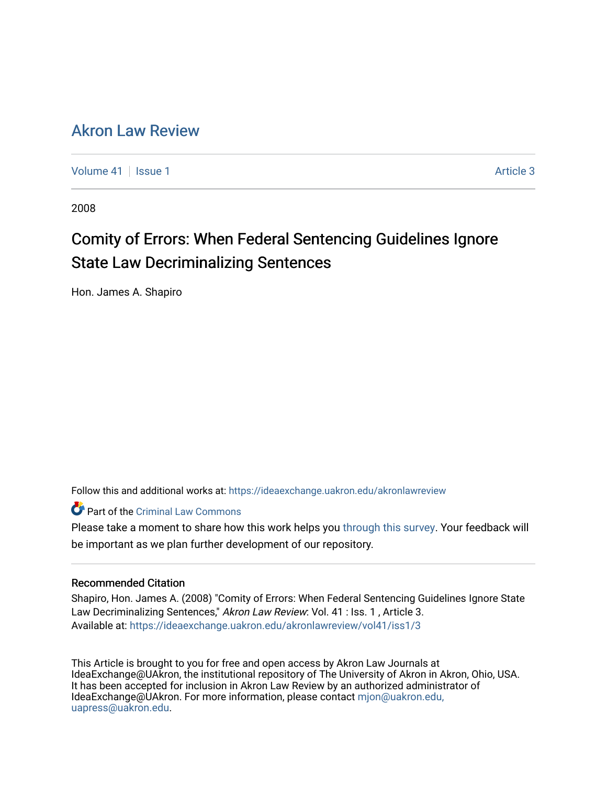# [Akron Law Review](https://ideaexchange.uakron.edu/akronlawreview)

[Volume 41](https://ideaexchange.uakron.edu/akronlawreview/vol41) | [Issue 1](https://ideaexchange.uakron.edu/akronlawreview/vol41/iss1) Article 3

2008

# Comity of Errors: When Federal Sentencing Guidelines Ignore State Law Decriminalizing Sentences

Hon. James A. Shapiro

Follow this and additional works at: [https://ideaexchange.uakron.edu/akronlawreview](https://ideaexchange.uakron.edu/akronlawreview?utm_source=ideaexchange.uakron.edu%2Fakronlawreview%2Fvol41%2Fiss1%2F3&utm_medium=PDF&utm_campaign=PDFCoverPages)

Part of the [Criminal Law Commons](http://network.bepress.com/hgg/discipline/912?utm_source=ideaexchange.uakron.edu%2Fakronlawreview%2Fvol41%2Fiss1%2F3&utm_medium=PDF&utm_campaign=PDFCoverPages) 

Please take a moment to share how this work helps you [through this survey](http://survey.az1.qualtrics.com/SE/?SID=SV_eEVH54oiCbOw05f&URL=https://ideaexchange.uakron.edu/akronlawreview/vol41/iss1/3). Your feedback will be important as we plan further development of our repository.

## Recommended Citation

Shapiro, Hon. James A. (2008) "Comity of Errors: When Federal Sentencing Guidelines Ignore State Law Decriminalizing Sentences," Akron Law Review: Vol. 41 : Iss. 1, Article 3. Available at: [https://ideaexchange.uakron.edu/akronlawreview/vol41/iss1/3](https://ideaexchange.uakron.edu/akronlawreview/vol41/iss1/3?utm_source=ideaexchange.uakron.edu%2Fakronlawreview%2Fvol41%2Fiss1%2F3&utm_medium=PDF&utm_campaign=PDFCoverPages) 

This Article is brought to you for free and open access by Akron Law Journals at IdeaExchange@UAkron, the institutional repository of The University of Akron in Akron, Ohio, USA. It has been accepted for inclusion in Akron Law Review by an authorized administrator of IdeaExchange@UAkron. For more information, please contact [mjon@uakron.edu,](mailto:mjon@uakron.edu,%20uapress@uakron.edu) [uapress@uakron.edu.](mailto:mjon@uakron.edu,%20uapress@uakron.edu)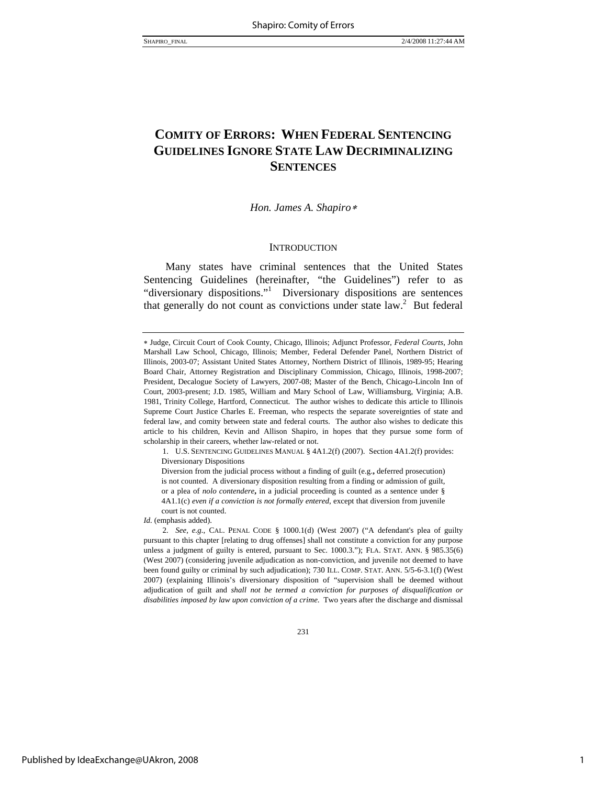## **COMITY OF ERRORS: WHEN FEDERAL SENTENCING GUIDELINES IGNORE STATE LAW DECRIMINALIZING SENTENCES**

#### *Hon. James A. Shapiro*<sup>∗</sup>

#### **INTRODUCTION**

Many states have criminal sentences that the United States Sentencing Guidelines (hereinafter, "the Guidelines") refer to as "diversionary dispositions."<sup>1</sup> Diversionary dispositions are sentences that generally do not count as convictions under state  $law^2$ . But federal

 1. U.S. SENTENCING GUIDELINES MANUAL § 4A1.2(f) (2007). Section 4A1.2(f) provides: Diversionary Dispositions

Diversion from the judicial process without a finding of guilt (e.g.**,** deferred prosecution) is not counted. A diversionary disposition resulting from a finding or admission of guilt, or a plea of *nolo contendere***,** in a judicial proceeding is counted as a sentence under § 4A1.1(c) *even if a conviction is not formally entered*, except that diversion from juvenile court is not counted.

*Id.* (emphasis added).

2*. See, e.g.*, CAL. PENAL CODE § 1000.1(d) (West 2007) ("A defendant's plea of guilty pursuant to this chapter [relating to drug offenses] shall not constitute a conviction for any purpose unless a judgment of guilty is entered, pursuant to Sec. 1000.3."); FLA. STAT. ANN. § 985.35(6) (West 2007) (considering juvenile adjudication as non-conviction, and juvenile not deemed to have been found guilty or criminal by such adjudication); 730 ILL. COMP. STAT. ANN. 5/5-6-3.1(f) (West 2007) (explaining Illinois's diversionary disposition of "supervision shall be deemed without adjudication of guilt and *shall not be termed a conviction for purposes of disqualification or disabilities imposed by law upon conviction of a crime*. Two years after the discharge and dismissal

231

<sup>∗</sup> Judge, Circuit Court of Cook County, Chicago, Illinois; Adjunct Professor, *Federal Courts*, John Marshall Law School, Chicago, Illinois; Member, Federal Defender Panel, Northern District of Illinois, 2003-07; Assistant United States Attorney, Northern District of Illinois, 1989-95; Hearing Board Chair, Attorney Registration and Disciplinary Commission, Chicago, Illinois, 1998-2007; President, Decalogue Society of Lawyers, 2007-08; Master of the Bench, Chicago-Lincoln Inn of Court, 2003-present; J.D. 1985, William and Mary School of Law, Williamsburg, Virginia; A.B. 1981, Trinity College, Hartford, Connecticut. The author wishes to dedicate this article to Illinois Supreme Court Justice Charles E. Freeman, who respects the separate sovereignties of state and federal law, and comity between state and federal courts. The author also wishes to dedicate this article to his children, Kevin and Allison Shapiro, in hopes that they pursue some form of scholarship in their careers, whether law-related or not.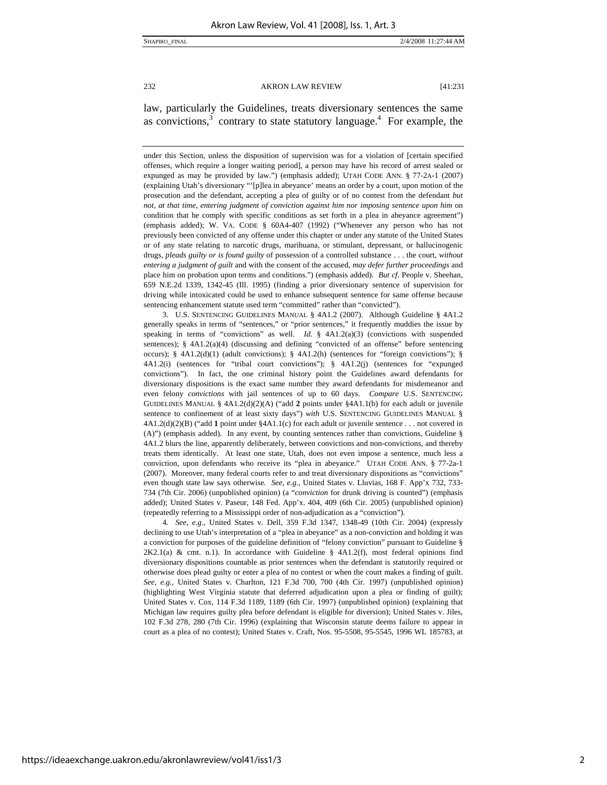law, particularly the Guidelines, treats diversionary sentences the same as convictions, $3$  contrary to state statutory language.<sup>4</sup> For example, the

under this Section, unless the disposition of supervision was for a violation of [certain specified offenses, which require a longer waiting period], a person may have his record of arrest sealed or expunged as may be provided by law.") (emphasis added); UTAH CODE ANN. § 77-2A-1 (2007) (explaining Utah's diversionary "'[p]lea in abeyance' means an order by a court, upon motion of the prosecution and the defendant, accepting a plea of guilty or of no contest from the defendant *but not, at that time, entering judgment of conviction against him nor imposing sentence upon him* on condition that he comply with specific conditions as set forth in a plea in abeyance agreement") (emphasis added); W. VA. CODE § 60A4-407 (1992) ("Whenever any person who has not previously been convicted of any offense under this chapter or under any statute of the United States or of any state relating to narcotic drugs, marihuana, or stimulant, depressant, or hallucinogenic drugs, *pleads guilty or is found guilty* of possession of a controlled substance . . . the court, *without entering a judgment of guilt* and with the consent of the accused, *may defer further proceedings* and place him on probation upon terms and conditions.") (emphasis added). *But cf*. People v. Sheehan*,* 659 N.E.2d 1339, 1342-45 (Ill. 1995) (finding a prior diversionary sentence of supervision for driving while intoxicated could be used to enhance subsequent sentence for same offense because sentencing enhancement statute used term "committed" rather than "convicted").

 3. U.S. SENTENCING GUIDELINES MANUAL § 4A1.2 (2007). Although Guideline § 4A1.2 generally speaks in terms of "sentences," or "prior sentences," it frequently muddies the issue by speaking in terms of "convictions" as well. *Id.* §  $4A1.2(a)(3)$  (convictions with suspended sentences); § 4A1.2(a)(4) (discussing and defining "convicted of an offense" before sentencing occurs); § 4A1.2(d)(1) (adult convictions); § 4A1.2(h) (sentences for "foreign convictions"); § 4A1.2(i) (sentences for "tribal court convictions"); § 4A1.2(j) (sentences for "expunged convictions"). In fact, the one criminal history point the Guidelines award defendants for diversionary dispositions is the exact same number they award defendants for misdemeanor and even felony *convictions* with jail sentences of up to 60 days. *Compare* U.S. SENTENCING GUIDELINES MANUAL § 4A1.2(d)(2)(A) ("add **2** points under §4A1.1(b) for each adult or juvenile sentence to confinement of at least sixty days") *with* U.S. SENTENCING GUIDELINES MANUAL § 4A1.2(d)(2)(B) ("add **1** point under §4A1.1(c) for each adult or juvenile sentence . . . not covered in (A)") (emphasis added).In any event, by counting sentences rather than convictions, Guideline § 4A1.2 blurs the line, apparently deliberately, between convictions and non-convictions, and thereby treats them identically. At least one state, Utah, does not even impose a sentence, much less a conviction, upon defendants who receive its "plea in abeyance." UTAH CODE ANN. § 77-2a-1 (2007). Moreover, many federal courts refer to and treat diversionary dispositions as "convictions" even though state law says otherwise. *See, e.g.*, United States v. Lluvias, 168 F. App'x 732, 733- 734 (7th Cir. 2006) (unpublished opinion) (a "*conviction* for drunk driving is counted") (emphasis added); United States v. Paseur, 148 Fed. App'x. 404, 409 (6th Cir. 2005) (unpublished opinion) (repeatedly referring to a Mississippi order of non-adjudication as a "conviction").

4*. See, e.g.*, United States v. Dell, 359 F.3d 1347, 1348-49 (10th Cir. 2004) (expressly declining to use Utah's interpretation of a "plea in abeyance" as a non-conviction and holding it was a conviction for purposes of the guideline definition of "felony conviction" pursuant to Guideline §  $2K2.1(a)$  & cmt. n.1). In accordance with Guideline §  $4A1.2(f)$ , most federal opinions find diversionary dispositions countable as prior sentences when the defendant is statutorily required or otherwise does plead guilty or enter a plea of no contest or when the court makes a finding of guilt. *See, e.g.,* United States v. Charlton, 121 F.3d 700, 700 (4th Cir. 1997) (unpublished opinion) (highlighting West Virginia statute that deferred adjudication upon a plea or finding of guilt); United States v. Cox, 114 F.3d 1189, 1189 (6th Cir. 1997) (unpublished opinion) (explaining that Michigan law requires guilty plea before defendant is eligible for diversion); United States v. Jiles, 102 F.3d 278, 280 (7th Cir. 1996) (explaining that Wisconsin statute deems failure to appear in court as a plea of no contest); United States v. Craft, Nos. 95-5508, 95-5545, 1996 WL 185783, at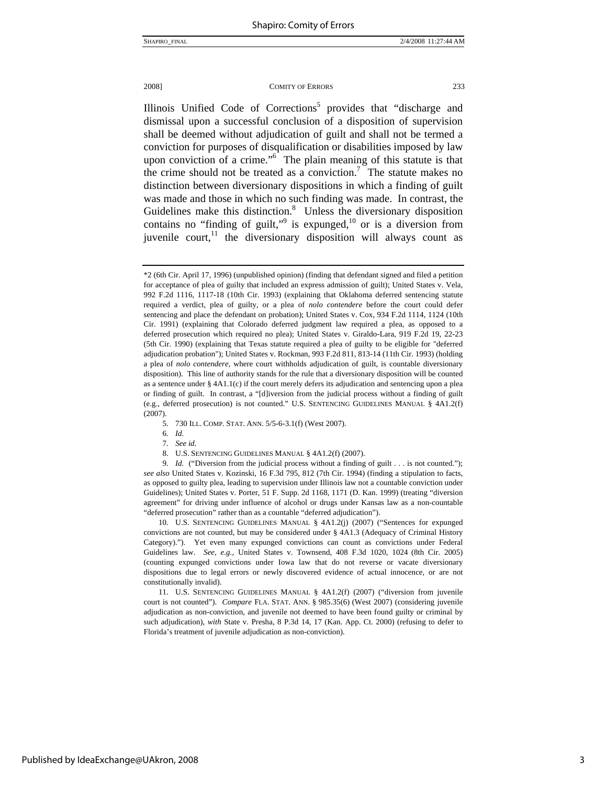Illinois Unified Code of Corrections<sup>5</sup> provides that "discharge and dismissal upon a successful conclusion of a disposition of supervision shall be deemed without adjudication of guilt and shall not be termed a conviction for purposes of disqualification or disabilities imposed by law upon conviction of a crime." $\overline{6}$  The plain meaning of this statute is that the crime should not be treated as a conviction.<sup>7</sup> The statute makes no distinction between diversionary dispositions in which a finding of guilt was made and those in which no such finding was made. In contrast, the Guidelines make this distinction.<sup>8</sup> Unless the diversionary disposition contains no "finding of guilt,"<sup>9</sup> is expunged, $^{10}$  or is a diversion from juvenile court, $11$  the diversionary disposition will always count as

- 5. 730 ILL. COMP. STAT. ANN. 5/5-6-3.1(f) (West 2007).
- 6*. Id.*
- 7*. See id.*
- 8. U.S. SENTENCING GUIDELINES MANUAL § 4A1.2(f) (2007).

9*. Id.* ("Diversion from the judicial process without a finding of guilt . . . is not counted."); *see also* United States v. Kozinski, 16 F.3d 795, 812 (7th Cir. 1994) (finding a stipulation to facts, as opposed to guilty plea, leading to supervision under Illinois law not a countable conviction under Guidelines); United States v. Porter, 51 F. Supp. 2d 1168, 1171 (D. Kan. 1999) (treating "diversion agreement" for driving under influence of alcohol or drugs under Kansas law as a non-countable "deferred prosecution" rather than as a countable "deferred adjudication").

 10. U.S. SENTENCING GUIDELINES MANUAL § 4A1.2(j) (2007) ("Sentences for expunged convictions are not counted, but may be considered under § 4A1.3 (Adequacy of Criminal History Category)."). Yet even many expunged convictions can count as convictions under Federal Guidelines law. *See, e.g.,* United States v. Townsend, 408 F.3d 1020, 1024 (8th Cir. 2005) (counting expunged convictions under Iowa law that do not reverse or vacate diversionary dispositions due to legal errors or newly discovered evidence of actual innocence, or are not constitutionally invalid).

 11. U.S. SENTENCING GUIDELINES MANUAL § 4A1.2(f) (2007) ("diversion from juvenile court is not counted"). *Compare* FLA. STAT. ANN. § 985.35(6) (West 2007) (considering juvenile adjudication as non-conviction, and juvenile not deemed to have been found guilty or criminal by such adjudication), *with* State v. Presha, 8 P.3d 14, 17 (Kan. App. Ct. 2000) (refusing to defer to Florida's treatment of juvenile adjudication as non-conviction).

<sup>\*2 (6</sup>th Cir. April 17, 1996) (unpublished opinion) (finding that defendant signed and filed a petition for acceptance of plea of guilty that included an express admission of guilt); United States v. Vela, 992 F.2d 1116, 1117-18 (10th Cir. 1993) (explaining that Oklahoma deferred sentencing statute required a verdict, plea of guilty, or a plea of *nolo contendere* before the court could defer sentencing and place the defendant on probation); United States v. Cox, 934 F.2d 1114, 1124 (10th Cir. 1991) (explaining that Colorado deferred judgment law required a plea, as opposed to a deferred prosecution which required no plea); United States v. Giraldo-Lara, 919 F.2d 19, 22-23 (5th Cir. 1990) (explaining that Texas statute required a plea of guilty to be eligible for "deferred adjudication probation"); United States v. Rockman, 993 F.2d 811, 813-14 (11th Cir. 1993) (holding a plea of *nolo contendere,* where court withholds adjudication of guilt, is countable diversionary disposition). This line of authority stands for the rule that a diversionary disposition will be counted as a sentence under  $\S$  4A1.1(c) if the court merely defers its adjudication and sentencing upon a plea or finding of guilt. In contrast, a "[d]iversion from the judicial process without a finding of guilt (e.g., deferred prosecution) is not counted." U.S. SENTENCING GUIDELINES MANUAL § 4A1.2(f) (2007).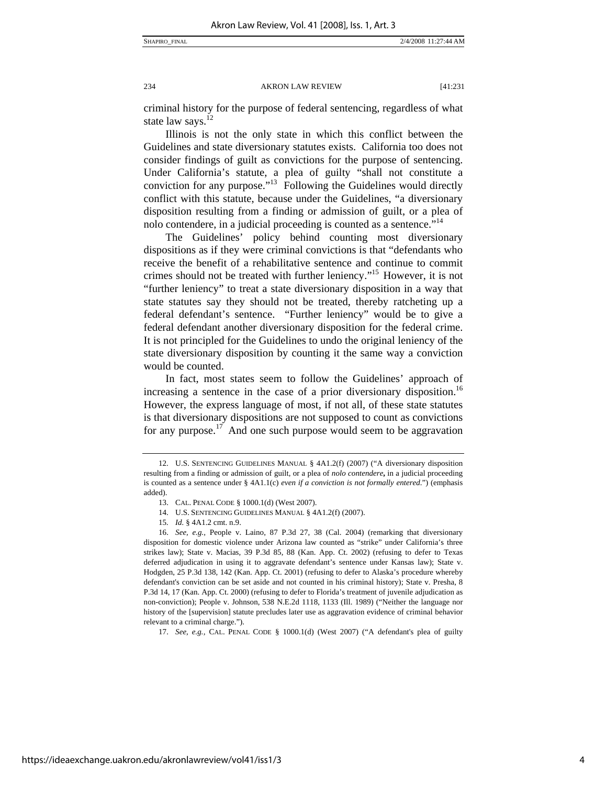criminal history for the purpose of federal sentencing, regardless of what state law says.<sup>1</sup>

Illinois is not the only state in which this conflict between the Guidelines and state diversionary statutes exists. California too does not consider findings of guilt as convictions for the purpose of sentencing. Under California's statute, a plea of guilty "shall not constitute a conviction for any purpose."13 Following the Guidelines would directly conflict with this statute, because under the Guidelines, "a diversionary disposition resulting from a finding or admission of guilt, or a plea of nolo contendere, in a judicial proceeding is counted as a sentence."<sup>14</sup>

The Guidelines' policy behind counting most diversionary dispositions as if they were criminal convictions is that "defendants who receive the benefit of a rehabilitative sentence and continue to commit crimes should not be treated with further leniency."15 However, it is not "further leniency" to treat a state diversionary disposition in a way that state statutes say they should not be treated, thereby ratcheting up a federal defendant's sentence. "Further leniency" would be to give a federal defendant another diversionary disposition for the federal crime. It is not principled for the Guidelines to undo the original leniency of the state diversionary disposition by counting it the same way a conviction would be counted.

In fact, most states seem to follow the Guidelines' approach of increasing a sentence in the case of a prior diversionary disposition.<sup>16</sup> However, the express language of most, if not all, of these state statutes is that diversionary dispositions are not supposed to count as convictions for any purpose.<sup>17</sup> And one such purpose would seem to be aggravation

17. *See, e.g.,* CAL. PENAL CODE § 1000.1(d) (West 2007) ("A defendant's plea of guilty

 <sup>12.</sup> U.S. SENTENCING GUIDELINES MANUAL § 4A1.2(f) (2007) ("A diversionary disposition resulting from a finding or admission of guilt, or a plea of *nolo contendere***,** in a judicial proceeding is counted as a sentence under § 4A1.1(c) *even if a conviction is not formally entered*.") (emphasis added).

 <sup>13.</sup> CAL. PENAL CODE § 1000.1(d) (West 2007).

 <sup>14.</sup> U.S. SENTENCING GUIDELINES MANUAL § 4A1.2(f) (2007).

<sup>15</sup>*. Id.* § 4A1.2 cmt. n.9.

<sup>16.</sup> *See, e.g.,* People v. Laino, 87 P.3d 27, 38 (Cal. 2004) (remarking that diversionary disposition for domestic violence under Arizona law counted as "strike" under California's three strikes law); State v. Macias*,* 39 P.3d 85, 88 (Kan. App. Ct. 2002) (refusing to defer to Texas deferred adjudication in using it to aggravate defendant's sentence under Kansas law); State v. Hodgden, 25 P.3d 138, 142 (Kan. App. Ct. 2001) (refusing to defer to Alaska's procedure whereby defendant's conviction can be set aside and not counted in his criminal history); State v. Presha, 8 P.3d 14, 17 (Kan. App. Ct. 2000) (refusing to defer to Florida's treatment of juvenile adjudication as non-conviction); People v. Johnson, 538 N.E.2d 1118, 1133 (Ill. 1989) ("Neither the language nor history of the [supervision] statute precludes later use as aggravation evidence of criminal behavior relevant to a criminal charge.").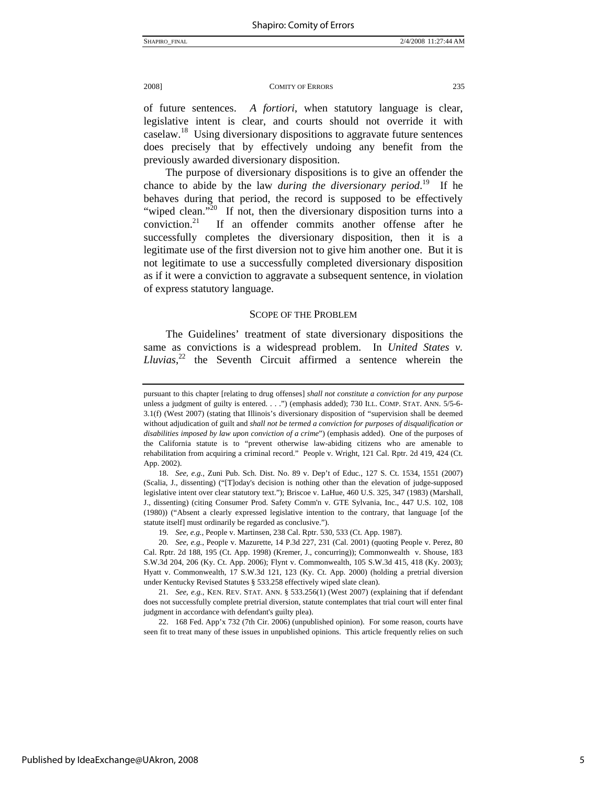of future sentences. *A fortiori*, when statutory language is clear, legislative intent is clear, and courts should not override it with caselaw.<sup>18</sup> Using diversionary dispositions to aggravate future sentences does precisely that by effectively undoing any benefit from the previously awarded diversionary disposition.

The purpose of diversionary dispositions is to give an offender the chance to abide by the law *during the diversionary period*. 19 If he behaves during that period, the record is supposed to be effectively "wiped clean."<sup>20</sup> If not, then the diversionary disposition turns into a conviction.21 If an offender commits another offense after he successfully completes the diversionary disposition, then it is a legitimate use of the first diversion not to give him another one. But it is not legitimate to use a successfully completed diversionary disposition as if it were a conviction to aggravate a subsequent sentence, in violation of express statutory language.

#### SCOPE OF THE PROBLEM

The Guidelines' treatment of state diversionary dispositions the same as convictions is a widespread problem. In *United States v. Lluvias*, 22 the Seventh Circuit affirmed a sentence wherein the

19*. See, e.g.,* People v. Martinsen, 238 Cal. Rptr. 530, 533 (Ct. App. 1987).

pursuant to this chapter [relating to drug offenses] *shall not constitute a conviction for any purpose* unless a judgment of guilty is entered. . . .") (emphasis added); 730 ILL. COMP. STAT. ANN. 5/5-6- 3.1(f) (West 2007) (stating that Illinois's diversionary disposition of "supervision shall be deemed without adjudication of guilt and *shall not be termed a conviction for purposes of disqualification or disabilities imposed by law upon conviction of a crime*") (emphasis added). One of the purposes of the California statute is to "prevent otherwise law-abiding citizens who are amenable to rehabilitation from acquiring a criminal record." People v. Wright, 121 Cal. Rptr. 2d 419, 424 (Ct. App. 2002).

<sup>18.</sup> *See, e.g.,* Zuni Pub. Sch. Dist. No. 89 v. Dep't of Educ*.*, 127 S. Ct. 1534, 1551 (2007) (Scalia, J., dissenting) ("[T]oday's decision is nothing other than the elevation of judge-supposed legislative intent over clear statutory text."); Briscoe v. LaHue, 460 U.S. 325, 347 (1983) (Marshall, J., dissenting) (citing Consumer Prod. Safety Comm'n v. GTE Sylvania, Inc., 447 U.S. 102, 108 (1980)) ("Absent a clearly expressed legislative intention to the contrary, that language [of the statute itself] must ordinarily be regarded as conclusive.").

<sup>20</sup>*. See, e.g.,* People v. Mazurette, 14 P.3d 227, 231 (Cal. 2001) (quoting People v. Perez, 80 Cal. Rptr. 2d 188, 195 (Ct. App. 1998) (Kremer, J., concurring)); Commonwealth v. Shouse, 183 S.W.3d 204, 206 (Ky. Ct. App. 2006); Flynt v. Commonwealth, 105 S.W.3d 415, 418 (Ky. 2003); Hyatt v. Commonwealth, 17 S.W.3d 121, 123 (Ky. Ct. App. 2000) (holding a pretrial diversion under Kentucky Revised Statutes § 533.258 effectively wiped slate clean).

<sup>21</sup>*. See, e.g.,* KEN. REV. STAT. ANN. § 533.256(1) (West 2007) (explaining that if defendant does not successfully complete pretrial diversion, statute contemplates that trial court will enter final judgment in accordance with defendant's guilty plea).

 <sup>22. 168</sup> Fed. App'x 732 (7th Cir. 2006) (unpublished opinion). For some reason, courts have seen fit to treat many of these issues in unpublished opinions. This article frequently relies on such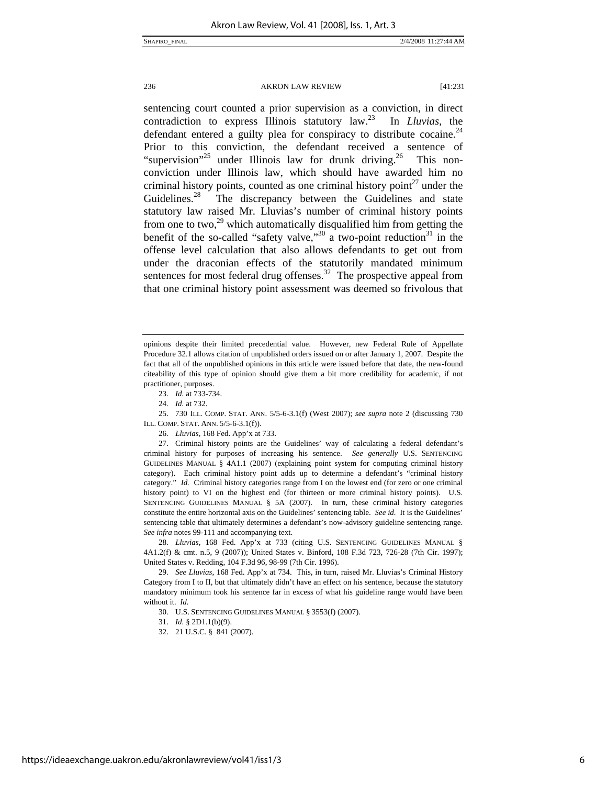sentencing court counted a prior supervision as a conviction, in direct contradiction to express Illinois statutory law.23 In *Lluvias,* the defendant entered a guilty plea for conspiracy to distribute cocaine.<sup>24</sup> Prior to this conviction, the defendant received a sentence of "supervision"<sup>25</sup> under Illinois law for drunk driving.<sup>26</sup> This nonconviction under Illinois law, which should have awarded him no criminal history points, counted as one criminal history point $2^7$  under the Guidelines.<sup>28</sup> The discrepancy between the Guidelines and state statutory law raised Mr. Lluvias's number of criminal history points from one to two,<sup>29</sup> which automatically disqualified him from getting the benefit of the so-called "safety valve,"<sup>30</sup> a two-point reduction<sup>31</sup> in the offense level calculation that also allows defendants to get out from under the draconian effects of the statutorily mandated minimum sentences for most federal drug offenses.<sup>32</sup> The prospective appeal from that one criminal history point assessment was deemed so frivolous that

 25. 730 ILL. COMP. STAT. ANN. 5/5-6-3.1(f) (West 2007); *see supra* note 2 (discussing 730 ILL. COMP. STAT. ANN. 5/5-6-3.1(f)).

26*. Lluvias*, 168 Fed. App'x at 733.

 27. Criminal history points are the Guidelines' way of calculating a federal defendant's criminal history for purposes of increasing his sentence. *See generally* U.S. SENTENCING GUIDELINES MANUAL § 4A1.1 (2007) (explaining point system for computing criminal history category). Each criminal history point adds up to determine a defendant's "criminal history category." *Id.* Criminal history categories range from I on the lowest end (for zero or one criminal history point) to VI on the highest end (for thirteen or more criminal history points). U.S. SENTENCING GUIDELINES MANUAL § 5A (2007). In turn, these criminal history categories constitute the entire horizontal axis on the Guidelines' sentencing table. *See id.* It is the Guidelines' sentencing table that ultimately determines a defendant's now-advisory guideline sentencing range. *See infra* notes 99-111 and accompanying text.

28*. Lluvias*, 168 Fed. App'x at 733 (citing U.S. SENTENCING GUIDELINES MANUAL § 4A1.2(f) & cmt. n.5, 9 (2007)); United States v. Binford, 108 F.3d 723, 726-28 (7th Cir. 1997); United States v. Redding, 104 F.3d 96, 98-99 (7th Cir. 1996).

29*. See Lluvias*, 168 Fed. App'x at 734. This, in turn, raised Mr. Lluvias's Criminal History Category from I to II, but that ultimately didn't have an effect on his sentence, because the statutory mandatory minimum took his sentence far in excess of what his guideline range would have been without it. *Id.*

32. 21 U.S.C. § 841 (2007).

opinions despite their limited precedential value. However, new Federal Rule of Appellate Procedure 32.1 allows citation of unpublished orders issued on or after January 1, 2007. Despite the fact that all of the unpublished opinions in this article were issued before that date, the new-found citeability of this type of opinion should give them a bit more credibility for academic, if not practitioner, purposes.

<sup>23</sup>*. Id.* at 733-734.

<sup>24</sup>*. Id.* at 732.

 <sup>30.</sup> U.S. SENTENCING GUIDELINES MANUAL § 3553(f) (2007).

<sup>31.</sup> *Id.* § 2D1.1(b)(9).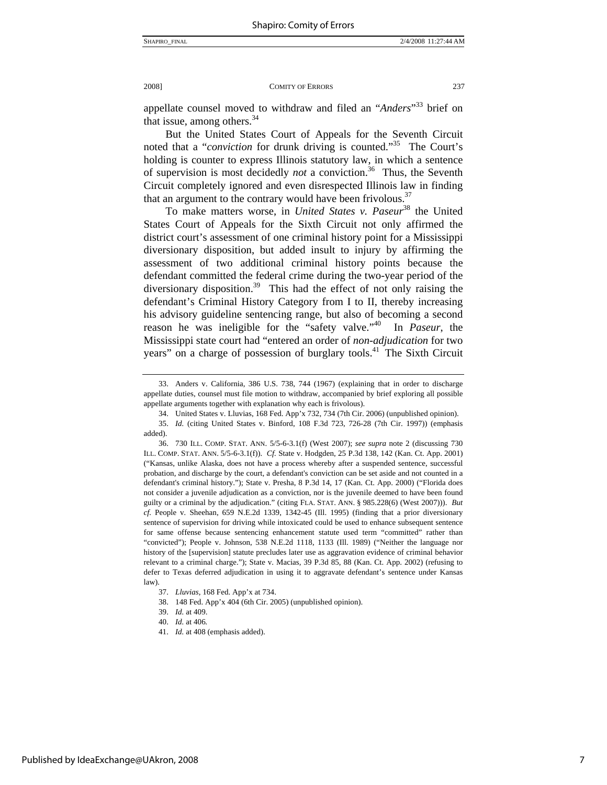appellate counsel moved to withdraw and filed an "*Anders*" 33 brief on that issue, among others.<sup>34</sup>

But the United States Court of Appeals for the Seventh Circuit noted that a "*conviction* for drunk driving is counted."35 The Court's holding is counter to express Illinois statutory law, in which a sentence of supervision is most decidedly *not* a conviction.<sup>36</sup> Thus, the Seventh Circuit completely ignored and even disrespected Illinois law in finding that an argument to the contrary would have been frivolous.<sup>37</sup>

To make matters worse, in *United States v. Paseur*<sup>38</sup> the United States Court of Appeals for the Sixth Circuit not only affirmed the district court's assessment of one criminal history point for a Mississippi diversionary disposition, but added insult to injury by affirming the assessment of two additional criminal history points because the defendant committed the federal crime during the two-year period of the diversionary disposition.<sup>39</sup> This had the effect of not only raising the defendant's Criminal History Category from I to II, thereby increasing his advisory guideline sentencing range, but also of becoming a second reason he was ineligible for the "safety valve."40 In *Paseur*, the Mississippi state court had "entered an order of *non-adjudication* for two years" on a charge of possession of burglary tools.<sup>41</sup> The Sixth Circuit

 <sup>33.</sup> Anders v. California*,* 386 U.S. 738, 744 (1967) (explaining that in order to discharge appellate duties, counsel must file motion to withdraw, accompanied by brief exploring all possible appellate arguments together with explanation why each is frivolous).

 <sup>34.</sup> United States v. Lluvias, 168 Fed. App'x 732, 734 (7th Cir. 2006) (unpublished opinion).

<sup>35.</sup> *Id.* (citing United States v. Binford, 108 F.3d 723, 726-28 (7th Cir. 1997)) (emphasis added).

 <sup>36. 730</sup> ILL. COMP. STAT. ANN. 5/5-6-3.1(f) (West 2007); *see supra* note 2 (discussing 730 ILL. COMP. STAT. ANN. 5/5-6-3.1(f)). *Cf.* State v. Hodgden, 25 P.3d 138, 142 (Kan. Ct. App. 2001) ("Kansas, unlike Alaska, does not have a process whereby after a suspended sentence, successful probation, and discharge by the court, a defendant's conviction can be set aside and not counted in a defendant's criminal history."); State v. Presha, 8 P.3d 14, 17 (Kan. Ct. App. 2000) ("Florida does not consider a juvenile adjudication as a conviction, nor is the juvenile deemed to have been found guilty or a criminal by the adjudication." (citing FLA. STAT. ANN. § 985.228(6) (West 2007))). *But cf.* People v*.* Sheehan, 659 N.E.2d 1339, 1342-45 (Ill. 1995) (finding that a prior diversionary sentence of supervision for driving while intoxicated could be used to enhance subsequent sentence for same offense because sentencing enhancement statute used term "committed" rather than "convicted"); People v. Johnson, 538 N.E.2d 1118, 1133 (Ill. 1989) ("Neither the language nor history of the [supervision] statute precludes later use as aggravation evidence of criminal behavior relevant to a criminal charge."); State v. Macias*,* 39 P.3d 85, 88 (Kan. Ct. App. 2002) (refusing to defer to Texas deferred adjudication in using it to aggravate defendant's sentence under Kansas law).

<sup>37.</sup> *Lluvias*, 168 Fed. App'x at 734.

 <sup>38. 148</sup> Fed. App'x 404 (6th Cir. 2005) (unpublished opinion).

<sup>39.</sup> *Id.* at 409.

<sup>40.</sup> *Id.* at 406*.*

<sup>41.</sup> *Id.* at 408 (emphasis added).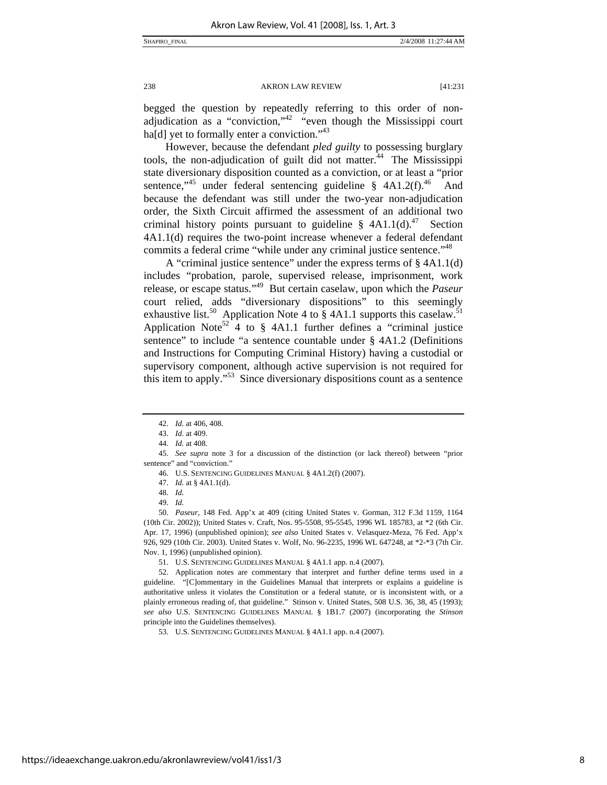begged the question by repeatedly referring to this order of nonadjudication as a "conviction,"<sup>42</sup> "even though the Mississippi court ha[d] yet to formally enter a conviction."<sup>43</sup>

However, because the defendant *pled guilty* to possessing burglary tools, the non-adjudication of guilt did not matter.<sup>44</sup> The Mississippi state diversionary disposition counted as a conviction, or at least a "prior sentence,<sup> $345$ </sup> under federal sentencing guideline § 4A1.2(f).<sup>46</sup> And because the defendant was still under the two-year non-adjudication order, the Sixth Circuit affirmed the assessment of an additional two criminal history points pursuant to guideline  $\S$  4A1.1(d).<sup>47</sup> Section 4A1.1(d) requires the two-point increase whenever a federal defendant commits a federal crime "while under any criminal justice sentence."<sup>48</sup>

A "criminal justice sentence" under the express terms of § 4A1.1(d) includes "probation, parole, supervised release, imprisonment, work release, or escape status."49 But certain caselaw, upon which the *Paseur*  court relied, adds "diversionary dispositions" to this seemingly exhaustive list.<sup>50</sup> Application Note 4 to  $\hat{\S}$  4A1.1 supports this caselaw.<sup>51</sup> Application Note<sup>52</sup> 4 to § 4A1.1 further defines a "criminal justice sentence" to include "a sentence countable under § 4A1.2 (Definitions and Instructions for Computing Criminal History) having a custodial or supervisory component, although active supervision is not required for this item to apply."<sup>53</sup> Since diversionary dispositions count as a sentence

<sup>42.</sup> *Id.* at 406, 408.

<sup>43.</sup> *Id.* at 409.

<sup>44.</sup> *Id.* at 408.

 <sup>45.</sup> *See supra* note 3 for a discussion of the distinction (or lack thereof) between "prior sentence" and "conviction."

 <sup>46.</sup> U.S. SENTENCING GUIDELINES MANUAL § 4A1.2(f) (2007).

<sup>47.</sup> *Id.* at § 4A1.1(d).

<sup>48.</sup> *Id.*

<sup>49.</sup> *Id.*

<sup>50.</sup> *Paseur*, 148 Fed. App'x at 409 (citing United States v. Gorman, 312 F.3d 1159, 1164 (10th Cir. 2002)); United States v. Craft, Nos. 95-5508, 95-5545, 1996 WL 185783, at \*2 (6th Cir. Apr. 17, 1996) (unpublished opinion); *see also* United States v. Velasquez-Meza, 76 Fed. App'x 926, 929 (10th Cir. 2003). United States v. Wolf, No. 96-2235, 1996 WL 647248, at \*2-\*3 (7th Cir. Nov. 1, 1996) (unpublished opinion).

 <sup>51.</sup> U.S. SENTENCING GUIDELINES MANUAL § 4A1.1 app. n.4 (2007).

 <sup>52.</sup> Application notes are commentary that interpret and further define terms used in a guideline. "[C]ommentary in the Guidelines Manual that interprets or explains a guideline is authoritative unless it violates the Constitution or a federal statute, or is inconsistent with, or a plainly erroneous reading of, that guideline." Stinson v. United States, 508 U.S. 36, 38, 45 (1993); *see also* U.S. SENTENCING GUIDELINES MANUAL § 1B1.7 (2007) (incorporating the *Stinson* principle into the Guidelines themselves).

 <sup>53.</sup> U.S. SENTENCING GUIDELINES MANUAL § 4A1.1 app. n.4 (2007).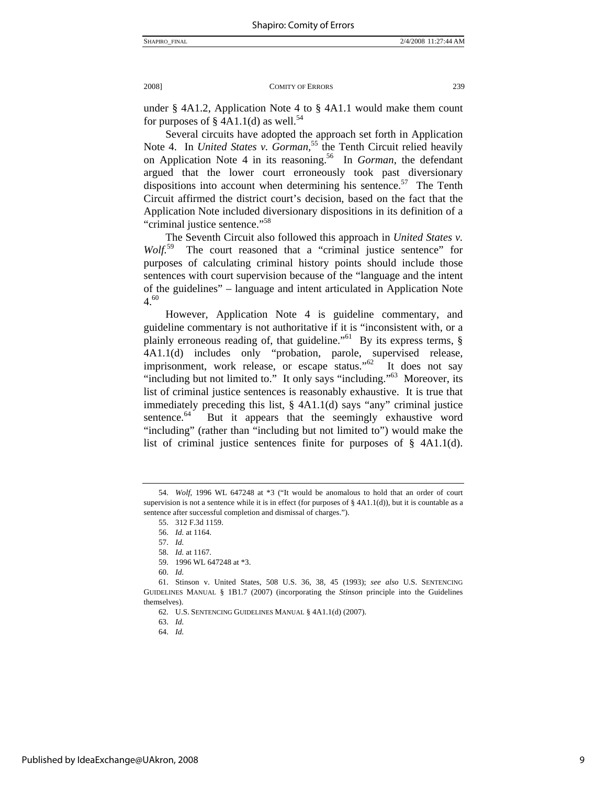under § 4A1.2, Application Note 4 to § 4A1.1 would make them count for purposes of  $\S$  4A1.1(d) as well.<sup>54</sup>

Several circuits have adopted the approach set forth in Application Note 4. In *United States v. Gorman*,<sup>55</sup> the Tenth Circuit relied heavily on Application Note 4 in its reasoning.56 In *Gorman*, the defendant argued that the lower court erroneously took past diversionary dispositions into account when determining his sentence.<sup>57</sup> The Tenth Circuit affirmed the district court's decision, based on the fact that the Application Note included diversionary dispositions in its definition of a "criminal justice sentence."58

The Seventh Circuit also followed this approach in *United States v. Wolf.*59 The court reasoned that a "criminal justice sentence" for purposes of calculating criminal history points should include those sentences with court supervision because of the "language and the intent of the guidelines" – language and intent articulated in Application Note  $4.60$ 

However, Application Note 4 is guideline commentary, and guideline commentary is not authoritative if it is "inconsistent with, or a plainly erroneous reading of, that guideline."<sup>61</sup> By its express terms,  $\S$ 4A1.1(d) includes only "probation, parole, supervised release, imprisonment, work release, or escape status."<sup>62</sup> It does not say "including but not limited to." It only says "including."<sup>63</sup> Moreover, its list of criminal justice sentences is reasonably exhaustive. It is true that immediately preceding this list, § 4A1.1(d) says "any" criminal justice sentence. $64$  But it appears that the seemingly exhaustive word "including" (rather than "including but not limited to") would make the list of criminal justice sentences finite for purposes of § 4A1.1(d).

<sup>54.</sup> *Wolf*, 1996 WL 647248 at \*3 ("It would be anomalous to hold that an order of court supervision is not a sentence while it is in effect (for purposes of § 4A1.1(d)), but it is countable as a sentence after successful completion and dismissal of charges.").

 <sup>55. 312</sup> F.3d 1159.

<sup>56.</sup> *Id.* at 1164.

<sup>57.</sup> *Id.*

<sup>58.</sup> *Id.* at 1167.

 <sup>59. 1996</sup> WL 647248 at \*3.

<sup>60.</sup> *Id.*

 <sup>61.</sup> Stinson v. United States, 508 U.S. 36, 38, 45 (1993); *see also* U.S. SENTENCING GUIDELINES MANUAL § 1B1.7 (2007) (incorporating the *Stinson* principle into the Guidelines themselves).

 <sup>62.</sup> U.S. SENTENCING GUIDELINES MANUAL § 4A1.1(d) (2007).

<sup>63.</sup> *Id.*

<sup>64.</sup> *Id.*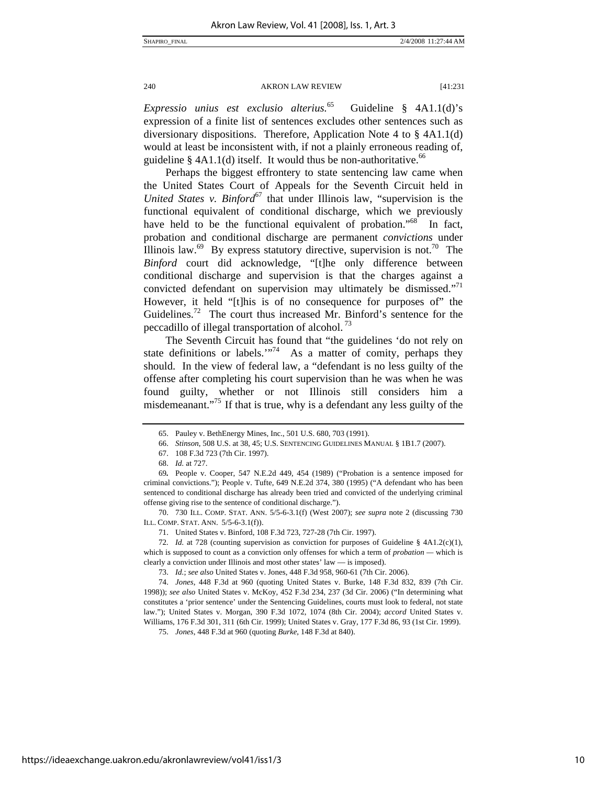*Expressio unius est exclusio alterius.*<sup>65</sup>Guideline § 4A1.1(d)'s expression of a finite list of sentences excludes other sentences such as diversionary dispositions. Therefore, Application Note 4 to § 4A1.1(d) would at least be inconsistent with, if not a plainly erroneous reading of, guideline §  $4A1.1(d)$  itself. It would thus be non-authoritative.<sup>66</sup>

Perhaps the biggest effrontery to state sentencing law came when the United States Court of Appeals for the Seventh Circuit held in *United States v. Binford*<sup>67</sup> that under Illinois law, "supervision is the functional equivalent of conditional discharge, which we previously have held to be the functional equivalent of probation."<sup>68</sup> In fact, probation and conditional discharge are permanent *convictions* under Illinois law.<sup>69</sup> By express statutory directive, supervision is not.<sup>70</sup> The *Binford* court did acknowledge, "[t]he only difference between conditional discharge and supervision is that the charges against a convicted defendant on supervision may ultimately be dismissed."<sup>71</sup> However, it held "[t]his is of no consequence for purposes of" the Guidelines.<sup>72</sup> The court thus increased Mr. Binford's sentence for the peccadillo of illegal transportation of alcohol.<sup>73</sup>

The Seventh Circuit has found that "the guidelines 'do not rely on state definitions or labels." $7^{74}$  As a matter of comity, perhaps they should. In the view of federal law, a "defendant is no less guilty of the offense after completing his court supervision than he was when he was found guilty, whether or not Illinois still considers him a misdemeanant."<sup>75</sup> If that is true, why is a defendant any less guilty of the

 70. 730 ILL. COMP. STAT. ANN. 5/5-6-3.1(f) (West 2007); *see supra* note 2 (discussing 730 ILL. COMP. STAT. ANN. 5/5-6-3.1(f)).

71. United States v. Binford, 108 F.3d 723, 727-28 (7th Cir. 1997).

72*. Id.* at 728 (counting supervision as conviction for purposes of Guideline § 4A1.2(c)(1), which is supposed to count as a conviction only offenses for which a term of *probation —* which is clearly a conviction under Illinois and most other states' law — is imposed).

73. *Id.*; *see also* United States v. Jones, 448 F.3d 958, 960-61 (7th Cir. 2006).

74. *Jones*, 448 F.3d at 960 (quoting United States v. Burke, 148 F.3d 832, 839 (7th Cir. 1998)); *see also* United States v. McKoy, 452 F.3d 234, 237 (3d Cir. 2006) ("In determining what constitutes a 'prior sentence' under the Sentencing Guidelines, courts must look to federal, not state law."); United States v. Morgan, 390 F.3d 1072, 1074 (8th Cir. 2004); *accord* United States v. Williams, 176 F.3d 301, 311 (6th Cir. 1999); United States v. Gray, 177 F.3d 86, 93 (1st Cir. 1999).

75. *Jones*, 448 F.3d at 960 (quoting *Burke,* 148 F.3d at 840).

 <sup>65.</sup> Pauley v. BethEnergy Mines, Inc., 501 U.S. 680, 703 (1991).

<sup>66.</sup> *Stinson*, 508 U.S. at 38, 45; U.S. SENTENCING GUIDELINES MANUAL § 1B1.7 (2007).

 <sup>67. 108</sup> F.3d 723 (7th Cir. 1997).

<sup>68.</sup> *Id.* at 727.

<sup>69</sup>*.* People v. Cooper, 547 N.E.2d 449, 454 (1989) ("Probation is a sentence imposed for criminal convictions."); People v. Tufte, 649 N.E.2d 374, 380 (1995) ("A defendant who has been sentenced to conditional discharge has already been tried and convicted of the underlying criminal offense giving rise to the sentence of conditional discharge.").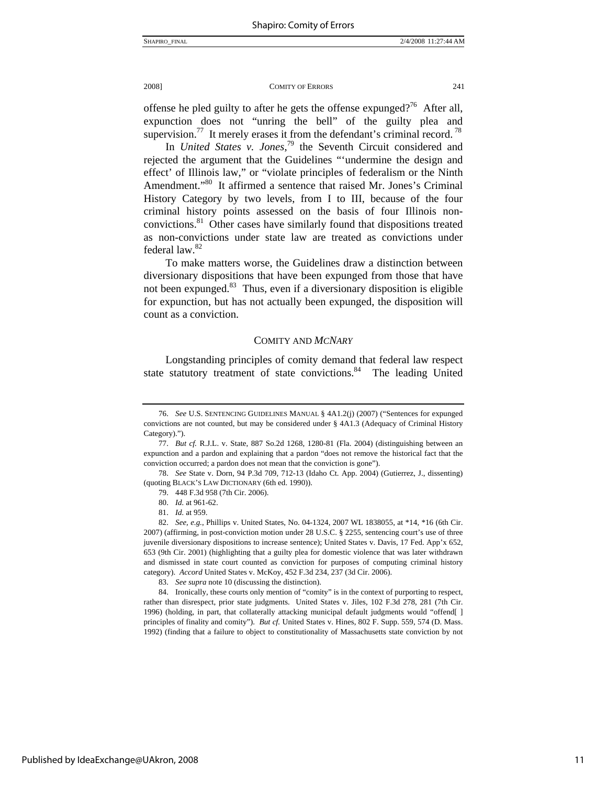offense he pled guilty to after he gets the offense expunged?<sup>76</sup> After all, expunction does not "unring the bell" of the guilty plea and supervision.<sup>77</sup> It merely erases it from the defendant's criminal record.<sup>78</sup>

In *United States v. Jones*, 79 the Seventh Circuit considered and rejected the argument that the Guidelines "'undermine the design and effect' of Illinois law," or "violate principles of federalism or the Ninth Amendment."<sup>80</sup> It affirmed a sentence that raised Mr. Jones's Criminal History Category by two levels, from I to III, because of the four criminal history points assessed on the basis of four Illinois nonconvictions.81 Other cases have similarly found that dispositions treated as non-convictions under state law are treated as convictions under federal law.<sup>82</sup>

To make matters worse, the Guidelines draw a distinction between diversionary dispositions that have been expunged from those that have not been expunged.<sup>83</sup> Thus, even if a diversionary disposition is eligible for expunction, but has not actually been expunged, the disposition will count as a conviction.

#### COMITY AND *MCNARY*

Longstanding principles of comity demand that federal law respect state statutory treatment of state convictions.<sup>84</sup> The leading United

<sup>76.</sup> *See* U.S. SENTENCING GUIDELINES MANUAL § 4A1.2(j) (2007) ("Sentences for expunged convictions are not counted, but may be considered under § 4A1.3 (Adequacy of Criminal History Category).").

<sup>77.</sup> *But cf.* R.J.L. v. State, 887 So.2d 1268, 1280-81 (Fla. 2004) (distinguishing between an expunction and a pardon and explaining that a pardon "does not remove the historical fact that the conviction occurred; a pardon does not mean that the conviction is gone").

<sup>78.</sup> *See* State v. Dorn, 94 P.3d 709, 712-13 (Idaho Ct. App. 2004) (Gutierrez, J., dissenting) (quoting BLACK'S LAW DICTIONARY (6th ed. 1990)).

 <sup>79. 448</sup> F.3d 958 (7th Cir. 2006).

<sup>80.</sup> *Id.* at 961-62.

<sup>81.</sup> *Id.* at 959.

<sup>82.</sup> *See, e.g.*, Phillips v. United States, No. 04-1324, 2007 WL 1838055, at \*14, \*16 (6th Cir. 2007) (affirming, in post-conviction motion under 28 U.S.C. § 2255, sentencing court's use of three juvenile diversionary dispositions to increase sentence); United States v. Davis, 17 Fed. App'x 652, 653 (9th Cir. 2001) (highlighting that a guilty plea for domestic violence that was later withdrawn and dismissed in state court counted as conviction for purposes of computing criminal history category). *Accord* United States v. McKoy, 452 F.3d 234, 237 (3d Cir. 2006).

<sup>83.</sup> *See supra* note 10 (discussing the distinction).

 <sup>84.</sup> Ironically, these courts only mention of "comity" is in the context of purporting to respect, rather than disrespect, prior state judgments. United States v. Jiles, 102 F.3d 278, 281 (7th Cir. 1996) (holding, in part, that collaterally attacking municipal default judgments would "offend[ ] principles of finality and comity"). *But cf.* United States v. Hines, 802 F. Supp. 559, 574 (D. Mass. 1992) (finding that a failure to object to constitutionality of Massachusetts state conviction by not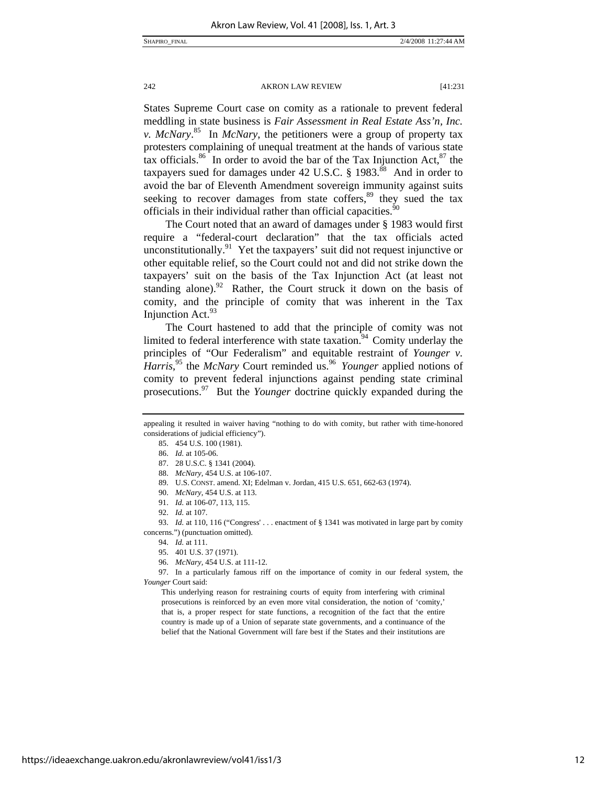States Supreme Court case on comity as a rationale to prevent federal meddling in state business is *Fair Assessment in Real Estate Ass'n, Inc. v. McNary*. <sup>85</sup>In *McNary*, the petitioners were a group of property tax protesters complaining of unequal treatment at the hands of various state tax officials.<sup>86</sup> In order to avoid the bar of the Tax Injunction Act,  $87$  the taxpayers sued for damages under 42 U.S.C.  $\S$  1983.<sup>88</sup> And in order to avoid the bar of Eleventh Amendment sovereign immunity against suits seeking to recover damages from state coffers, $89$  they sued the tax officials in their individual rather than official capacities.<sup>90</sup>

The Court noted that an award of damages under § 1983 would first require a "federal-court declaration" that the tax officials acted unconstitutionally.91Yet the taxpayers' suit did not request injunctive or other equitable relief, so the Court could not and did not strike down the taxpayers' suit on the basis of the Tax Injunction Act (at least not standing alone).<sup>92</sup> Rather, the Court struck it down on the basis of comity, and the principle of comity that was inherent in the Tax Injunction Act.  $93$ 

The Court hastened to add that the principle of comity was not limited to federal interference with state taxation.<sup>94</sup> Comity underlay the principles of "Our Federalism" and equitable restraint of *Younger v.*  Harris,<sup>95</sup> the *McNary* Court reminded us.<sup>96</sup> Younger applied notions of comity to prevent federal injunctions against pending state criminal prosecutions.97 But the *Younger* doctrine quickly expanded during the

appealing it resulted in waiver having "nothing to do with comity, but rather with time-honored considerations of judicial efficiency").

 <sup>85. 454</sup> U.S. 100 (1981).

<sup>86.</sup> *Id.* at 105-06.

 <sup>87. 28</sup> U.S.C. § 1341 (2004).

<sup>88.</sup> *McNary*, 454 U.S. at 106-107.

 <sup>89.</sup> U.S. CONST. amend. XI; Edelman v. Jordan, 415 U.S. 651, 662-63 (1974).

<sup>90.</sup> *McNary*, 454 U.S. at 113.

<sup>91.</sup> *Id.* at 106-07, 113, 115.

<sup>92.</sup> *Id.* at 107.

<sup>93.</sup> *Id.* at 110, 116 ("Congress' . . . enactment of § 1341 was motivated in large part by comity concerns.") (punctuation omitted).

<sup>94.</sup> *Id.* at 111.

 <sup>95. 401</sup> U.S. 37 (1971).

<sup>96.</sup> *McNary,* 454 U.S. at 111-12.

 <sup>97.</sup> In a particularly famous riff on the importance of comity in our federal system, the *Younger* Court said:

This underlying reason for restraining courts of equity from interfering with criminal prosecutions is reinforced by an even more vital consideration, the notion of 'comity,' that is, a proper respect for state functions, a recognition of the fact that the entire country is made up of a Union of separate state governments, and a continuance of the belief that the National Government will fare best if the States and their institutions are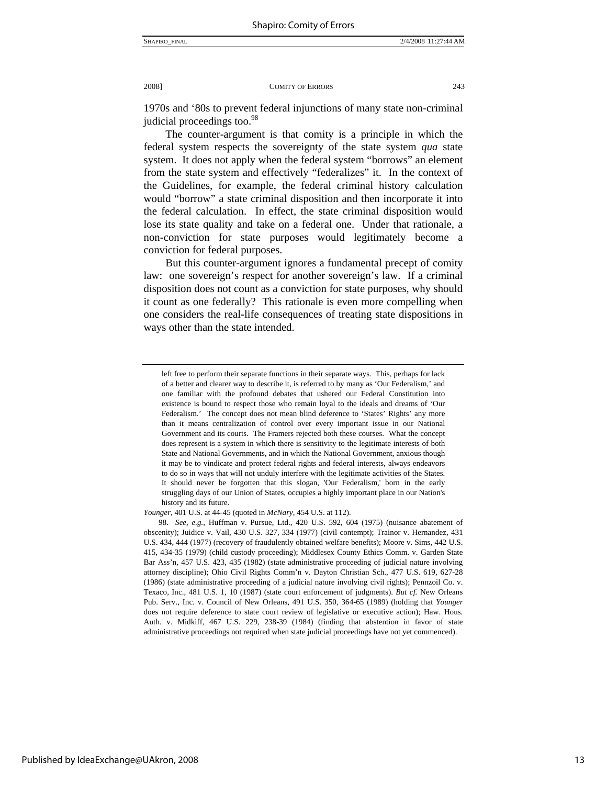1970s and '80s to prevent federal injunctions of many state non-criminal judicial proceedings too.<sup>98</sup>

The counter-argument is that comity is a principle in which the federal system respects the sovereignty of the state system *qua* state system. It does not apply when the federal system "borrows" an element from the state system and effectively "federalizes" it. In the context of the Guidelines, for example, the federal criminal history calculation would "borrow" a state criminal disposition and then incorporate it into the federal calculation. In effect, the state criminal disposition would lose its state quality and take on a federal one. Under that rationale, a non-conviction for state purposes would legitimately become a conviction for federal purposes.

But this counter-argument ignores a fundamental precept of comity law: one sovereign's respect for another sovereign's law. If a criminal disposition does not count as a conviction for state purposes, why should it count as one federally? This rationale is even more compelling when one considers the real-life consequences of treating state dispositions in ways other than the state intended.

left free to perform their separate functions in their separate ways. This, perhaps for lack of a better and clearer way to describe it, is referred to by many as 'Our Federalism,' and one familiar with the profound debates that ushered our Federal Constitution into existence is bound to respect those who remain loyal to the ideals and dreams of 'Our Federalism.' The concept does not mean blind deference to 'States' Rights' any more than it means centralization of control over every important issue in our National Government and its courts. The Framers rejected both these courses. What the concept does represent is a system in which there is sensitivity to the legitimate interests of both State and National Governments, and in which the National Government, anxious though it may be to vindicate and protect federal rights and federal interests, always endeavors to do so in ways that will not unduly interfere with the legitimate activities of the States. It should never be forgotten that this slogan, 'Our Federalism,' born in the early struggling days of our Union of States, occupies a highly important place in our Nation's history and its future.

*Younger*, 401 U.S. at 44-45 (quoted in *McNary*, 454 U.S. at 112).

<sup>98.</sup> *See, e.g.,* Huffman v. Pursue, Ltd., 420 U.S. 592, 604 (1975) (nuisance abatement of obscenity); Juidice v. Vail, 430 U.S. 327, 334 (1977) (civil contempt); Trainor v. Hernandez, 431 U.S. 434, 444 (1977) (recovery of fraudulently obtained welfare benefits); Moore v. Sims, 442 U.S. 415, 434-35 (1979) (child custody proceeding); Middlesex County Ethics Comm. v. Garden State Bar Ass'n, 457 U.S. 423, 435 (1982) (state administrative proceeding of judicial nature involving attorney discipline); Ohio Civil Rights Comm'n v. Dayton Christian Sch., 477 U.S. 619, 627-28 (1986) (state administrative proceeding of a judicial nature involving civil rights); Pennzoil Co. v. Texaco, Inc., 481 U.S. 1, 10 (1987) (state court enforcement of judgments). *But cf.* New Orleans Pub. Serv., Inc*.* v. Council of New Orleans, 491 U.S. 350, 364-65 (1989) (holding that *Younger* does not require deference to state court review of legislative or executive action); Haw. Hous. Auth. v. Midkiff, 467 U.S. 229, 238-39 (1984) (finding that abstention in favor of state administrative proceedings not required when state judicial proceedings have not yet commenced).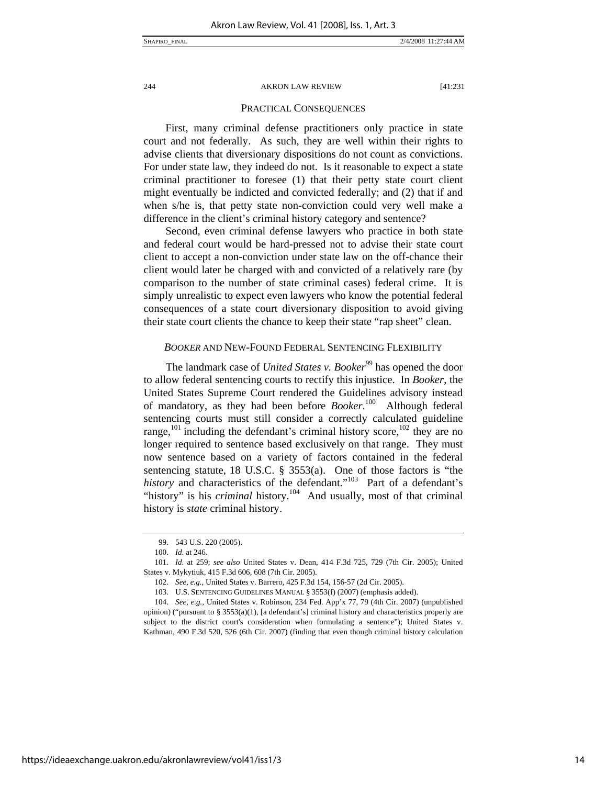### PRACTICAL CONSEQUENCES

First, many criminal defense practitioners only practice in state court and not federally. As such, they are well within their rights to advise clients that diversionary dispositions do not count as convictions. For under state law, they indeed do not. Is it reasonable to expect a state criminal practitioner to foresee (1) that their petty state court client might eventually be indicted and convicted federally; and (2) that if and when s/he is, that petty state non-conviction could very well make a difference in the client's criminal history category and sentence?

Second, even criminal defense lawyers who practice in both state and federal court would be hard-pressed not to advise their state court client to accept a non-conviction under state law on the off-chance their client would later be charged with and convicted of a relatively rare (by comparison to the number of state criminal cases) federal crime. It is simply unrealistic to expect even lawyers who know the potential federal consequences of a state court diversionary disposition to avoid giving their state court clients the chance to keep their state "rap sheet" clean.

#### *BOOKER* AND NEW-FOUND FEDERAL SENTENCING FLEXIBILITY

The landmark case of *United States v. Booker*<sup>99</sup> has opened the door to allow federal sentencing courts to rectify this injustice. In *Booker*, the United States Supreme Court rendered the Guidelines advisory instead of mandatory, as they had been before *Booker*. 100 Although federal sentencing courts must still consider a correctly calculated guideline range,<sup>101</sup> including the defendant's criminal history score,<sup>102</sup> they are no longer required to sentence based exclusively on that range. They must now sentence based on a variety of factors contained in the federal sentencing statute, 18 U.S.C. § 3553(a). One of those factors is "the history and characteristics of the defendant."<sup>103</sup> Part of a defendant's "history" is his *criminal* history.<sup>104</sup> And usually, most of that criminal history is *state* criminal history.

 <sup>99. 543</sup> U.S. 220 (2005).

<sup>100.</sup> *Id.* at 246.

<sup>101.</sup> *Id.* at 259; *see also* United States v. Dean, 414 F.3d 725, 729 (7th Cir. 2005); United States v. Mykytiuk, 415 F.3d 606, 608 (7th Cir. 2005).

<sup>102.</sup> *See, e.g.,* United States v. Barrero, 425 F.3d 154, 156-57 (2d Cir. 2005).

 <sup>103.</sup> U.S. SENTENCING GUIDELINES MANUAL § 3553(f) (2007) (emphasis added).

<sup>104.</sup> *See, e.g.,* United States v. Robinson, 234 Fed. App'x 77, 79 (4th Cir. 2007) (unpublished opinion) ("pursuant to  $\S 3553(a)(1)$ , [a defendant's] criminal history and characteristics properly are

subject to the district court's consideration when formulating a sentence"); United States v. Kathman, 490 F.3d 520, 526 (6th Cir. 2007) (finding that even though criminal history calculation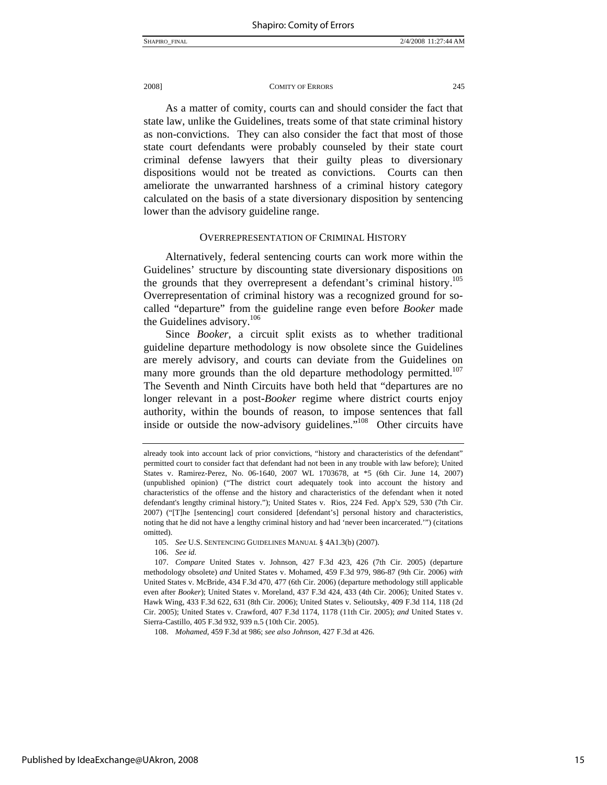As a matter of comity, courts can and should consider the fact that state law, unlike the Guidelines, treats some of that state criminal history as non-convictions. They can also consider the fact that most of those state court defendants were probably counseled by their state court criminal defense lawyers that their guilty pleas to diversionary dispositions would not be treated as convictions. Courts can then ameliorate the unwarranted harshness of a criminal history category calculated on the basis of a state diversionary disposition by sentencing lower than the advisory guideline range.

#### OVERREPRESENTATION OF CRIMINAL HISTORY

Alternatively, federal sentencing courts can work more within the Guidelines' structure by discounting state diversionary dispositions on the grounds that they overrepresent a defendant's criminal history.<sup>105</sup> Overrepresentation of criminal history was a recognized ground for socalled "departure" from the guideline range even before *Booker* made the Guidelines advisory.<sup>106</sup>

Since *Booker*, a circuit split exists as to whether traditional guideline departure methodology is now obsolete since the Guidelines are merely advisory, and courts can deviate from the Guidelines on many more grounds than the old departure methodology permitted.<sup>107</sup> The Seventh and Ninth Circuits have both held that "departures are no longer relevant in a post-*Booker* regime where district courts enjoy authority, within the bounds of reason, to impose sentences that fall inside or outside the now-advisory guidelines.<sup>5108</sup> Other circuits have

105. *See* U.S. SENTENCING GUIDELINES MANUAL § 4A1.3(b) (2007).

106. *See id.*

107. *Compare* United States v. Johnson*,* 427 F.3d 423, 426 (7th Cir. 2005) (departure methodology obsolete) *and* United States v. Mohamed, 459 F.3d 979, 986-87 (9th Cir. 2006) *with*  United States v. McBride, 434 F.3d 470, 477 (6th Cir. 2006) (departure methodology still applicable even after *Booker*); United States v. Moreland, 437 F.3d 424, 433 (4th Cir. 2006); United States v. Hawk Wing, 433 F.3d 622, 631 (8th Cir. 2006); United States v. Selioutsky, 409 F.3d 114, 118 (2d Cir. 2005); United States v. Crawford, 407 F.3d 1174, 1178 (11th Cir. 2005); *and* United States v. Sierra-Castillo, 405 F.3d 932, 939 n.5 (10th Cir. 2005).

108. *Mohamed*, 459 F.3d at 986; *see also Johnson,* 427 F.3d at 426.

already took into account lack of prior convictions, "history and characteristics of the defendant" permitted court to consider fact that defendant had not been in any trouble with law before); United States v. Ramirez-Perez, No. 06-1640, 2007 WL 1703678, at \*5 (6th Cir. June 14, 2007) (unpublished opinion) ("The district court adequately took into account the history and characteristics of the offense and the history and characteristics of the defendant when it noted defendant's lengthy criminal history."); United States v. Rios, 224 Fed. App'x 529, 530 (7th Cir. 2007) ("[T]he [sentencing] court considered [defendant's] personal history and characteristics, noting that he did not have a lengthy criminal history and had 'never been incarcerated.'") (citations omitted).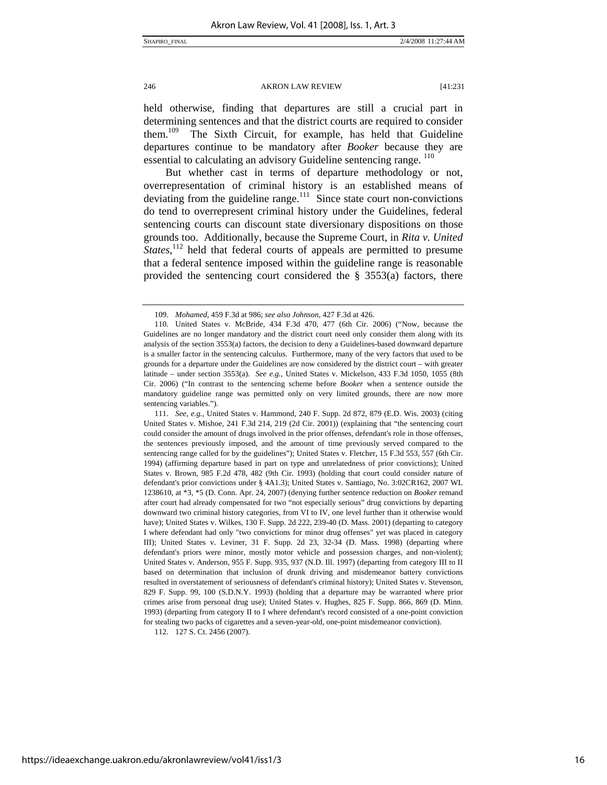held otherwise, finding that departures are still a crucial part in determining sentences and that the district courts are required to consider them.109 The Sixth Circuit, for example, has held that Guideline departures continue to be mandatory after *Booker* because they are essential to calculating an advisory Guideline sentencing range. <sup>110</sup>

But whether cast in terms of departure methodology or not, overrepresentation of criminal history is an established means of deviating from the guideline range. $\frac{111}{11}$  Since state court non-convictions do tend to overrepresent criminal history under the Guidelines, federal sentencing courts can discount state diversionary dispositions on those grounds too. Additionally, because the Supreme Court, in *Rita v. United States*,<sup>112</sup> held that federal courts of appeals are permitted to presume that a federal sentence imposed within the guideline range is reasonable provided the sentencing court considered the  $\S$  3553(a) factors, there

111. *See, e.g.,* United States v. Hammond, 240 F. Supp. 2d 872, 879 (E.D. Wis. 2003) (citing United States v. Mishoe, 241 F.3d 214, 219 (2d Cir. 2001)) (explaining that "the sentencing court could consider the amount of drugs involved in the prior offenses, defendant's role in those offenses, the sentences previously imposed, and the amount of time previously served compared to the sentencing range called for by the guidelines"); United States v. Fletcher, 15 F.3d 553, 557 (6th Cir. 1994) (affirming departure based in part on type and unrelatedness of prior convictions); United States v. Brown*,* 985 F.2d 478, 482 (9th Cir. 1993) (holding that court could consider nature of defendant's prior convictions under § 4A1.3); United States v. Santiago, No. 3:02CR162, 2007 WL 1238610, at \*3, \*5 (D. Conn. Apr. 24, 2007) (denying further sentence reduction on *Booker* remand after court had already compensated for two "not especially serious" drug convictions by departing downward two criminal history categories, from VI to IV, one level further than it otherwise would have); United States v. Wilkes, 130 F. Supp. 2d 222, 239-40 (D. Mass. 2001) (departing to category I where defendant had only "two convictions for minor drug offenses" yet was placed in category III); United States v. Leviner, 31 F. Supp. 2d 23, 32-34 (D. Mass. 1998) (departing where defendant's priors were minor, mostly motor vehicle and possession charges, and non-violent); United States v. Anderson, 955 F. Supp. 935, 937 (N.D. Ill. 1997) (departing from category III to II based on determination that inclusion of drunk driving and misdemeanor battery convictions resulted in overstatement of seriousness of defendant's criminal history); United States v. Stevenson, 829 F. Supp. 99, 100 (S.D.N.Y. 1993) (holding that a departure may be warranted where prior crimes arise from personal drug use); United States v. Hughes, 825 F. Supp. 866, 869 (D. Minn. 1993) (departing from category II to I where defendant's record consisted of a one-point conviction for stealing two packs of cigarettes and a seven-year-old, one-point misdemeanor conviction).

112. 127 S. Ct. 2456 (2007).

<sup>109.</sup> *Mohamed*, 459 F.3d at 986; *see also Johnson,* 427 F.3d at 426.

 <sup>110.</sup> United States v. McBride, 434 F.3d 470, 477 (6th Cir. 2006) ("Now, because the Guidelines are no longer mandatory and the district court need only consider them along with its analysis of the section 3553(a) factors, the decision to deny a Guidelines-based downward departure is a smaller factor in the sentencing calculus. Furthermore, many of the very factors that used to be grounds for a departure under the Guidelines are now considered by the district court – with greater latitude – under section 3553(a). *See e.g.,* United States v. Mickelson*,* 433 F.3d 1050, 1055 (8th Cir. 2006) ("In contrast to the sentencing scheme before *Booker* when a sentence outside the mandatory guideline range was permitted only on very limited grounds, there are now more sentencing variables.").